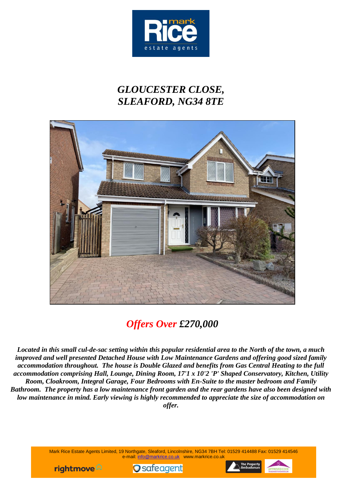

## *GLOUCESTER CLOSE, SLEAFORD, NG34 8TE*



# *Offers Over £270,000*

*Located in this small cul-de-sac setting within this popular residential area to the North of the town, a much improved and well presented Detached House with Low Maintenance Gardens and offering good sized family accommodation throughout. The house is Double Glazed and benefits from Gas Central Heating to the full accommodation comprising Hall, Lounge, Dining Room, 17'1 x 10'2 'P' Shaped Conservatory, Kitchen, Utility Room, Cloakroom, Integral Garage, Four Bedrooms with En-Suite to the master bedroom and Family Bathroom. The property has a low maintenance front garden and the rear gardens have also been designed with low maintenance in mind. Early viewing is highly recommended to appreciate the size of accommodation on offer.*

> Mark Rice Estate Agents Limited, 19 Northgate, Sleaford, Lincolnshire, NG34 7BH Tel: 01529 414488 Fax: 01529 414546 e-mail: info@markrice.co.uk www.markrice.co.uk





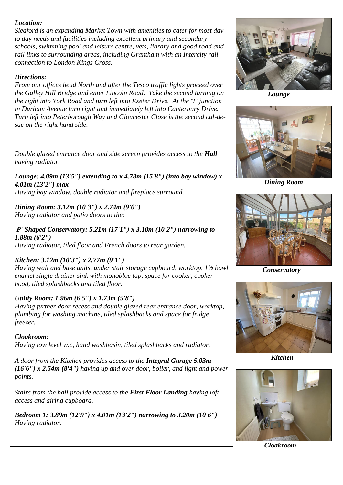### *Location:*

*Sleaford is an expanding Market Town with amenities to cater for most day to day needs and facilities including excellent primary and secondary schools, swimming pool and leisure centre, vets, library and good road and rail links to surrounding areas, including Grantham with an Intercity rail connection to London Kings Cross.*

#### *Directions:*

*From our offices head North and after the Tesco traffic lights proceed over the Galley Hill Bridge and enter Lincoln Road. Take the second turning on the right into York Road and turn left into Exeter Drive. At the 'T' junction in Durham Avenue turn right and immediately left into Canterbury Drive. Turn left into Peterborough Way and Gloucester Close is the second cul-desac on the right hand side.*

*\_\_\_\_\_\_\_\_\_\_\_\_\_\_\_\_\_\_\_\_\_\_\_*

*Double glazed entrance door and side screen provides access to the Hall having radiator.*

*Lounge: 4.09m (13'5") extending to x 4.78m (15'8") (into bay window) x 4.01m (13'2") max Having bay window, double radiator and fireplace surround.*

*Dining Room: 3.12m (10'3") x 2.74m (9'0") Having radiator and patio doors to the:*

*'P' Shaped Conservatory: 5.21m (17'1") x 3.10m (10'2") narrowing to 1.88m (6'2") Having radiator, tiled floor and French doors to rear garden.*

#### *Kitchen: 3.12m (10'3") x 2.77m (9'1")*

*Having wall and base units, under stair storage cupboard, worktop, 1½ bowl enamel single drainer sink with monobloc tap, space for cooker, cooker hood, tiled splashbacks and tiled floor.*

#### *Utility Room: 1.96m (6'5") x 1.73m (5'8")*

*Having further door recess and double glazed rear entrance door, worktop, plumbing for washing machine, tiled splashbacks and space for fridge freezer.*

*Cloakroom: Having low level w.c, hand washbasin, tiled splashbacks and radiator.*

*A door from the Kitchen provides access to the Integral Garage 5.03m (16'6") x 2.54m (8'4") having up and over door, boiler, and light and power points.*

*Stairs from the hall provide access to the First Floor Landing having loft access and airing cupboard.*

*Bedroom 1: 3.89m (12'9") x 4.01m (13'2") narrowing to 3.20m (10'6") Having radiator.*



 *Lounge*



 *Dining Room*



 *Conservatory*



 *Kitchen*



*Cloakroom*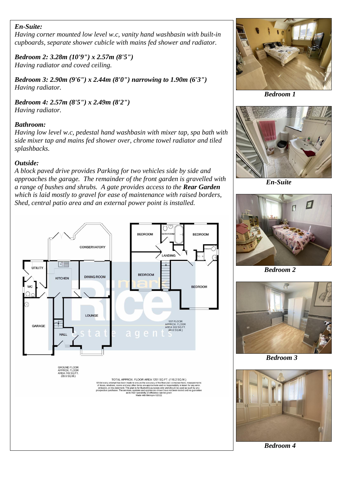### *En-Suite:*

*Having corner mounted low level w.c, vanity hand washbasin with built-in cupboards, separate shower cubicle with mains fed shower and radiator.*

*Bedroom 2: 3.28m (10'9") x 2.57m (8'5") Having radiator and coved ceiling.*

*Bedroom 3: 2.90m (9'6") x 2.44m (8'0") narrowing to 1.90m (6'3") Having radiator.*

*Bedroom 4: 2.57m (8'5") x 2.49m (8'2") Having radiator.*

### *Bathroom:*

*Having low level w.c, pedestal hand washbasin with mixer tap, spa bath with side mixer tap and mains fed shower over, chrome towel radiator and tiled splashbacks.*

#### *Outside:*

*A block paved drive provides Parking for two vehicles side by side and approaches the garage. The remainder of the front garden is gravelled with a range of bushes and shrubs. A gate provides access to the Rear Garden which is laid mostly to gravel for ease of maintenance with raised borders, Shed, central patio area and an external power point is installed.*





*Bedroom 1*



 *En-Suite*



 *Bedroom 2*



 *Bedroom 3*



 *Bedroom 4*